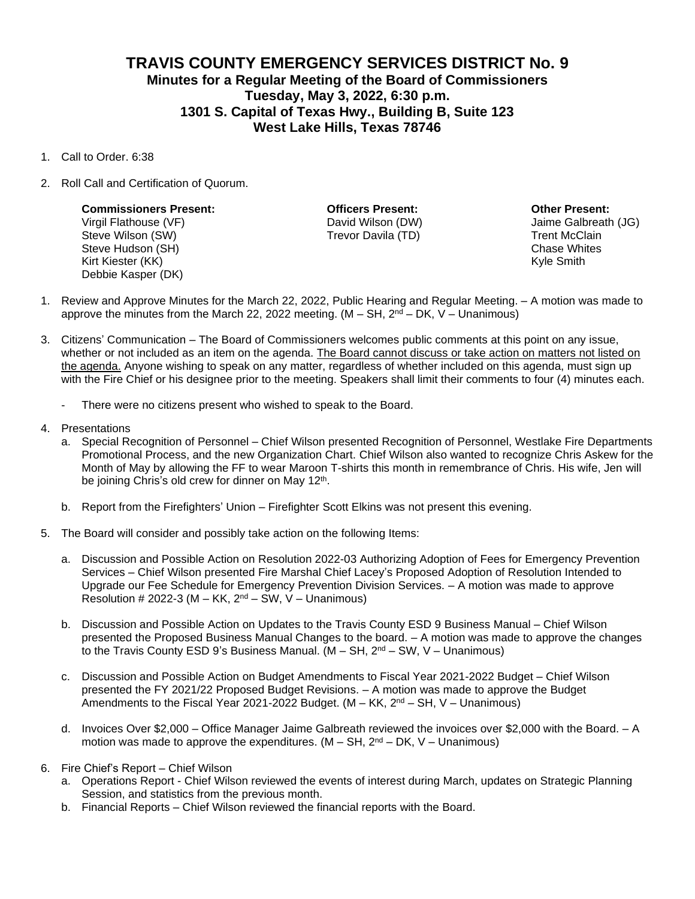## **TRAVIS COUNTY EMERGENCY SERVICES DISTRICT No. 9 Minutes for a Regular Meeting of the Board of Commissioners Tuesday, May 3, 2022, 6:30 p.m. 1301 S. Capital of Texas Hwy., Building B, Suite 123 West Lake Hills, Texas 78746**

- 1. Call to Order. 6:38
- 2. Roll Call and Certification of Quorum.

**Commissioners Present:**<br>
Virgil Flathouse (VF) **Commissioners Present:**<br>
David Wilson (DW) David Wilson (DW) Jaime Galbreath Virgil Flathouse (VF) David Wilson (DW) Jaime Galbreath (JG) Steve Wilson (SW) Trevor Davila (TD) Trent McClain Steve Hudson (SH) Chase Whites Steve Hudson (SH) Chase Whites Steve Hudson (SH) Chase Whites Kirt Kiester (KK) Karl Kiester (KK) Kyle Smith Kyle Smith Kyle Smith Kyle Smith Kyle Smith Kyle Smith Kyle Smith Debbie Kasper (DK)

- 1. Review and Approve Minutes for the March 22, 2022, Public Hearing and Regular Meeting. A motion was made to approve the minutes from the March 22, 2022 meeting.  $(M - SH, 2<sup>nd</sup> – DK, V – Unanimous)$
- 3. Citizens' Communication The Board of Commissioners welcomes public comments at this point on any issue, whether or not included as an item on the agenda. The Board cannot discuss or take action on matters not listed on the agenda. Anyone wishing to speak on any matter, regardless of whether included on this agenda, must sign up with the Fire Chief or his designee prior to the meeting. Speakers shall limit their comments to four (4) minutes each.
	- There were no citizens present who wished to speak to the Board.
- 4. Presentations
	- a. Special Recognition of Personnel Chief Wilson presented Recognition of Personnel, Westlake Fire Departments Promotional Process, and the new Organization Chart. Chief Wilson also wanted to recognize Chris Askew for the Month of May by allowing the FF to wear Maroon T-shirts this month in remembrance of Chris. His wife, Jen will be joining Chris's old crew for dinner on May 12<sup>th</sup>.
	- b. Report from the Firefighters' Union Firefighter Scott Elkins was not present this evening.
- 5. The Board will consider and possibly take action on the following Items:
	- a. Discussion and Possible Action on Resolution 2022-03 Authorizing Adoption of Fees for Emergency Prevention Services – Chief Wilson presented Fire Marshal Chief Lacey's Proposed Adoption of Resolution Intended to Upgrade our Fee Schedule for Emergency Prevention Division Services. – A motion was made to approve Resolution  $\#$  2022-3 (M – KK, 2<sup>nd</sup> – SW, V – Unanimous)
	- b. Discussion and Possible Action on Updates to the Travis County ESD 9 Business Manual Chief Wilson presented the Proposed Business Manual Changes to the board. – A motion was made to approve the changes to the Travis County ESD 9's Business Manual. (M – SH, 2<sup>nd</sup> – SW, V – Unanimous)
	- c. Discussion and Possible Action on Budget Amendments to Fiscal Year 2021-2022 Budget Chief Wilson presented the FY 2021/22 Proposed Budget Revisions. – A motion was made to approve the Budget Amendments to the Fiscal Year 2021-2022 Budget. (M – KK, 2<sup>nd</sup> – SH, V – Unanimous)
	- d. Invoices Over \$2,000 Office Manager Jaime Galbreath reviewed the invoices over \$2,000 with the Board. A motion was made to approve the expenditures.  $(M - SH, 2<sup>nd</sup> - DK, V - Unanimous)$
- 6. Fire Chief's Report Chief Wilson
	- a. Operations Report Chief Wilson reviewed the events of interest during March, updates on Strategic Planning Session, and statistics from the previous month.
	- b. Financial Reports Chief Wilson reviewed the financial reports with the Board.